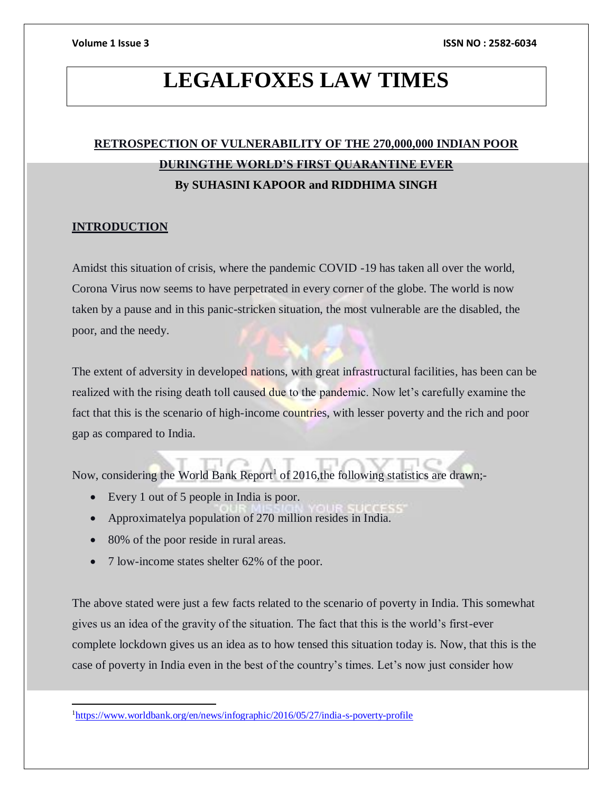## **LEGALFOXES LAW TIMES**

### **RETROSPECTION OF VULNERABILITY OF THE 270,000,000 INDIAN POOR DURINGTHE WORLD'S FIRST QUARANTINE EVER By SUHASINI KAPOOR and RIDDHIMA SINGH**

### **INTRODUCTION**

 $\overline{a}$ 

Amidst this situation of crisis, where the pandemic COVID -19 has taken all over the world, Corona Virus now seems to have perpetrated in every corner of the globe. The world is now taken by a pause and in this panic-stricken situation, the most vulnerable are the disabled, the poor, and the needy.

The extent of adversity in developed nations, with great infrastructural facilities, has been can be realized with the rising death toll caused due to the pandemic. Now let's carefully examine the fact that this is the scenario of high-income countries, with lesser poverty and the rich and poor gap as compared to India.

Now, considering the World Bank Report<sup>1</sup> of 2016,the following statistics are drawn;-

- Every 1 out of 5 people in India is poor.
- Approximatelya population of 270 million resides in India.
- 
- 80% of the poor reside in rural areas.
- 7 low-income states shelter 62% of the poor.

The above stated were just a few facts related to the scenario of poverty in India. This somewhat gives us an idea of the gravity of the situation. The fact that this is the world's first-ever complete lockdown gives us an idea as to how tensed this situation today is. Now, that this is the case of poverty in India even in the best of the country's times. Let's now just consider how

<sup>1</sup><https://www.worldbank.org/en/news/infographic/2016/05/27/india-s-poverty-profile>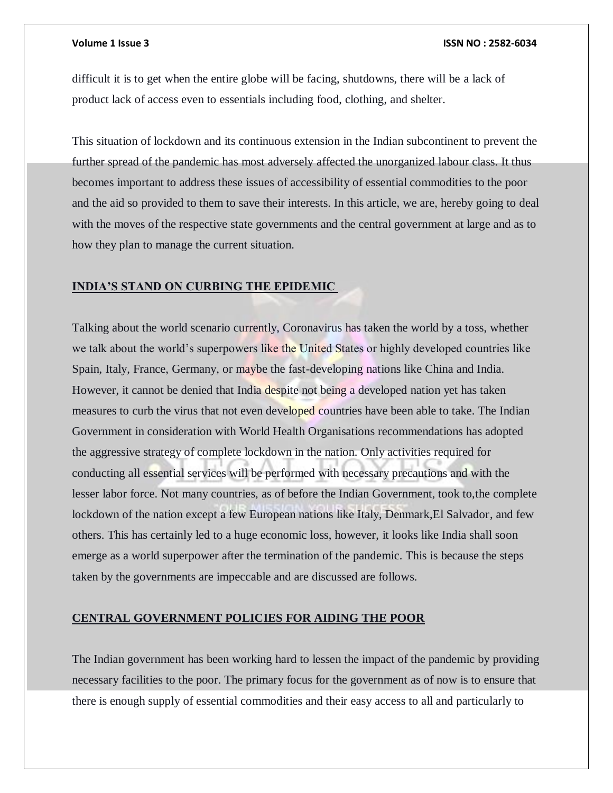difficult it is to get when the entire globe will be facing, shutdowns, there will be a lack of product lack of access even to essentials including food, clothing, and shelter.

This situation of lockdown and its continuous extension in the Indian subcontinent to prevent the further spread of the pandemic has most adversely affected the unorganized labour class. It thus becomes important to address these issues of accessibility of essential commodities to the poor and the aid so provided to them to save their interests. In this article, we are, hereby going to deal with the moves of the respective state governments and the central government at large and as to how they plan to manage the current situation.

### **INDIA'S STAND ON CURBING THE EPIDEMIC**

Talking about the world scenario currently, Coronavirus has taken the world by a toss, whether we talk about the world's superpowers like the United States or highly developed countries like Spain, Italy, France, Germany, or maybe the fast-developing nations like China and India. However, it cannot be denied that India despite not being a developed nation yet has taken measures to curb the virus that not even developed countries have been able to take. The Indian Government in consideration with World Health Organisations recommendations has adopted the aggressive strategy of complete lockdown in the nation. Only activities required for conducting all essential services will be performed with necessary precautions and with the lesser labor force. Not many countries, as of before the Indian Government, took to,the complete lockdown of the nation except a few European nations like Italy, Denmark, El Salvador, and few others. This has certainly led to a huge economic loss, however, it looks like India shall soon emerge as a world superpower after the termination of the pandemic. This is because the steps taken by the governments are impeccable and are discussed are follows.

### **CENTRAL GOVERNMENT POLICIES FOR AIDING THE POOR**

The Indian government has been working hard to lessen the impact of the pandemic by providing necessary facilities to the poor. The primary focus for the government as of now is to ensure that there is enough supply of essential commodities and their easy access to all and particularly to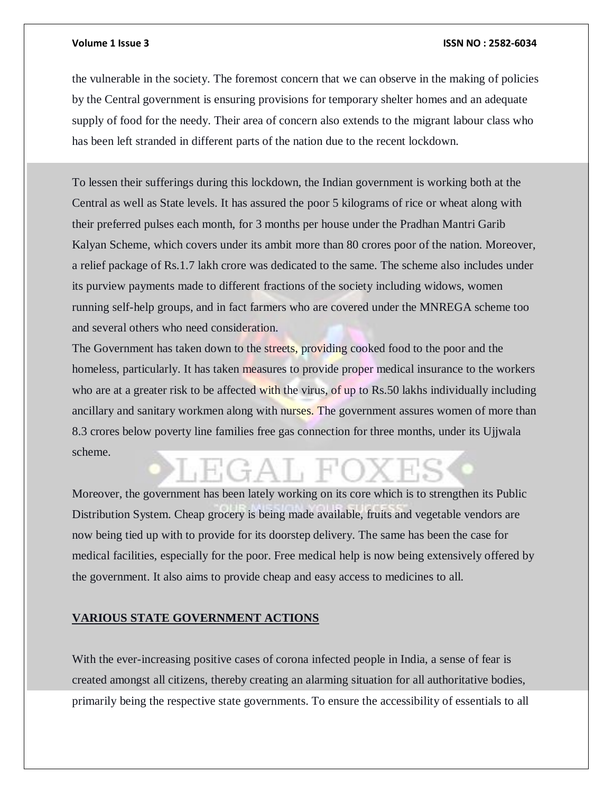the vulnerable in the society. The foremost concern that we can observe in the making of policies by the Central government is ensuring provisions for temporary shelter homes and an adequate supply of food for the needy. Their area of concern also extends to the migrant labour class who has been left stranded in different parts of the nation due to the recent lockdown.

To lessen their sufferings during this lockdown, the Indian government is working both at the Central as well as State levels. It has assured the poor 5 kilograms of rice or wheat along with their preferred pulses each month, for 3 months per house under the Pradhan Mantri Garib Kalyan Scheme, which covers under its ambit more than 80 crores poor of the nation. Moreover, a relief package of Rs.1.7 lakh crore was dedicated to the same. The scheme also includes under its purview payments made to different fractions of the society including widows, women running self-help groups, and in fact farmers who are covered under the MNREGA scheme too and several others who need consideration.

The Government has taken down to the streets, providing cooked food to the poor and the homeless, particularly. It has taken measures to provide proper medical insurance to the workers who are at a greater risk to be affected with the virus, of up to Rs.50 lakhs individually including ancillary and sanitary workmen along with nurses. The government assures women of more than 8.3 crores below poverty line families free gas connection for three months, under its Ujjwala scheme.

## $G+A$   $H$

Moreover, the government has been lately working on its core which is to strengthen its Public Distribution System. Cheap grocery is being made available, fruits and vegetable vendors are now being tied up with to provide for its doorstep delivery. The same has been the case for medical facilities, especially for the poor. Free medical help is now being extensively offered by the government. It also aims to provide cheap and easy access to medicines to all.

### **VARIOUS STATE GOVERNMENT ACTIONS**

With the ever-increasing positive cases of corona infected people in India, a sense of fear is created amongst all citizens, thereby creating an alarming situation for all authoritative bodies, primarily being the respective state governments. To ensure the accessibility of essentials to all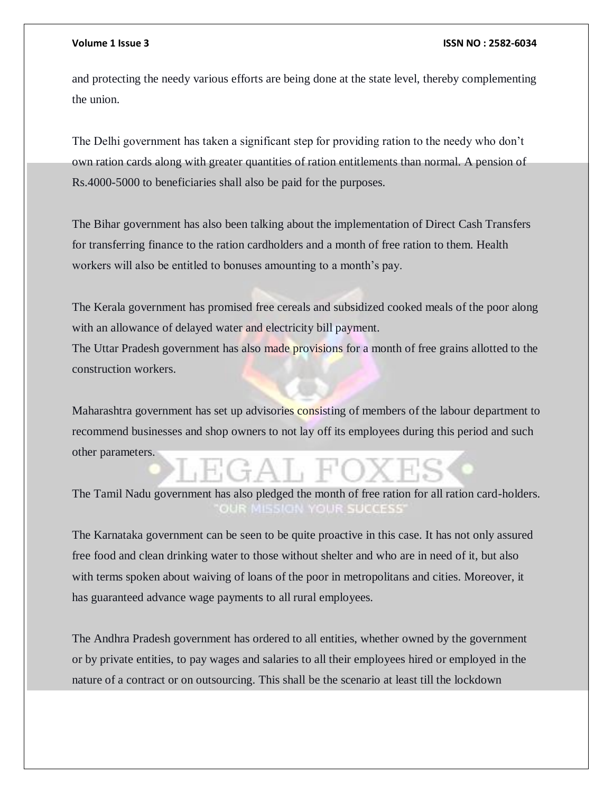and protecting the needy various efforts are being done at the state level, thereby complementing the union.

The Delhi government has taken a significant step for providing ration to the needy who don't own ration cards along with greater quantities of ration entitlements than normal. A pension of Rs.4000-5000 to beneficiaries shall also be paid for the purposes.

The Bihar government has also been talking about the implementation of Direct Cash Transfers for transferring finance to the ration cardholders and a month of free ration to them. Health workers will also be entitled to bonuses amounting to a month's pay.

The Kerala government has promised free cereals and subsidized cooked meals of the poor along with an allowance of delayed water and electricity bill payment.

The Uttar Pradesh government has also made provisions for a month of free grains allotted to the construction workers.

Maharashtra government has set up advisories consisting of members of the labour department to recommend businesses and shop owners to not lay off its employees during this period and such other parameters.

The Tamil Nadu government has also pledged the month of free ration for all ration card-holders. **OUR SUCCESS**  $010121$ 

The Karnataka government can be seen to be quite proactive in this case. It has not only assured free food and clean drinking water to those without shelter and who are in need of it, but also with terms spoken about waiving of loans of the poor in metropolitans and cities. Moreover, it has guaranteed advance wage payments to all rural employees.

The Andhra Pradesh government has ordered to all entities, whether owned by the government or by private entities, to pay wages and salaries to all their employees hired or employed in the nature of a contract or on outsourcing. This shall be the scenario at least till the lockdown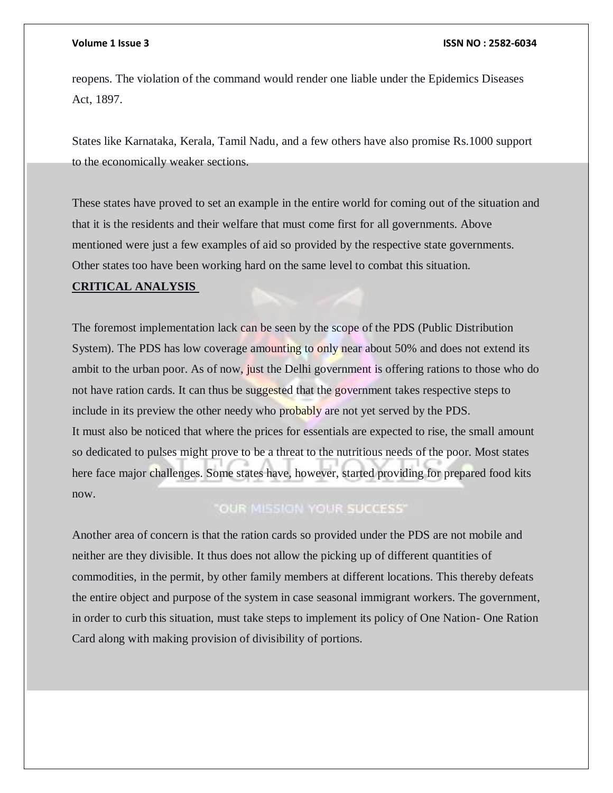reopens. The violation of the command would render one liable under the Epidemics Diseases Act, 1897.

States like Karnataka, Kerala, Tamil Nadu, and a few others have also promise Rs.1000 support to the economically weaker sections.

These states have proved to set an example in the entire world for coming out of the situation and that it is the residents and their welfare that must come first for all governments. Above mentioned were just a few examples of aid so provided by the respective state governments. Other states too have been working hard on the same level to combat this situation.

### **CRITICAL ANALYSIS**

The foremost implementation lack can be seen by the scope of the PDS (Public Distribution System). The PDS has low coverage amounting to only near about 50% and does not extend its ambit to the urban poor. As of now, just the Delhi government is offering rations to those who do not have ration cards. It can thus be suggested that the government takes respective steps to include in its preview the other needy who probably are not yet served by the PDS. It must also be noticed that where the prices for essentials are expected to rise, the small amount so dedicated to pulses might prove to be a threat to the nutritious needs of the poor. Most states here face major challenges. Some states have, however, started providing for prepared food kits now.

### "OUR MISSION YOUR SUCCESS"

Another area of concern is that the ration cards so provided under the PDS are not mobile and neither are they divisible. It thus does not allow the picking up of different quantities of commodities, in the permit, by other family members at different locations. This thereby defeats the entire object and purpose of the system in case seasonal immigrant workers. The government, in order to curb this situation, must take steps to implement its policy of One Nation- One Ration Card along with making provision of divisibility of portions.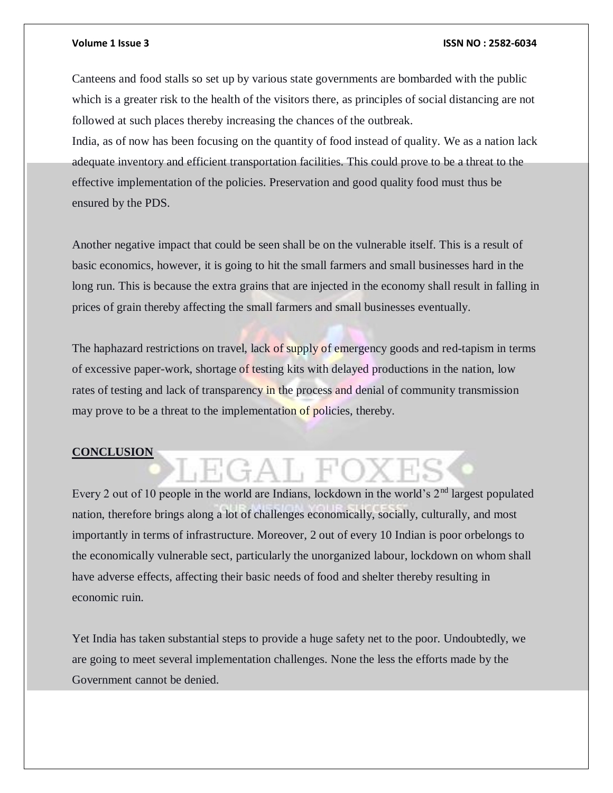Canteens and food stalls so set up by various state governments are bombarded with the public which is a greater risk to the health of the visitors there, as principles of social distancing are not followed at such places thereby increasing the chances of the outbreak.

India, as of now has been focusing on the quantity of food instead of quality. We as a nation lack adequate inventory and efficient transportation facilities. This could prove to be a threat to the effective implementation of the policies. Preservation and good quality food must thus be ensured by the PDS.

Another negative impact that could be seen shall be on the vulnerable itself. This is a result of basic economics, however, it is going to hit the small farmers and small businesses hard in the long run. This is because the extra grains that are injected in the economy shall result in falling in prices of grain thereby affecting the small farmers and small businesses eventually.

The haphazard restrictions on travel, lack of supply of emergency goods and red-tapism in terms of excessive paper-work, shortage of testing kits with delayed productions in the nation, low rates of testing and lack of transparency in the process and denial of community transmission may prove to be a threat to the implementation of policies, thereby.

### **CONCLUSION**

# EGAL FO

Every 2 out of 10 people in the world are Indians, lockdown in the world's  $2<sup>nd</sup>$  largest populated nation, therefore brings along a lot of challenges economically, socially, culturally, and most importantly in terms of infrastructure. Moreover, 2 out of every 10 Indian is poor orbelongs to the economically vulnerable sect, particularly the unorganized labour, lockdown on whom shall have adverse effects, affecting their basic needs of food and shelter thereby resulting in economic ruin.

Yet India has taken substantial steps to provide a huge safety net to the poor. Undoubtedly, we are going to meet several implementation challenges. None the less the efforts made by the Government cannot be denied.